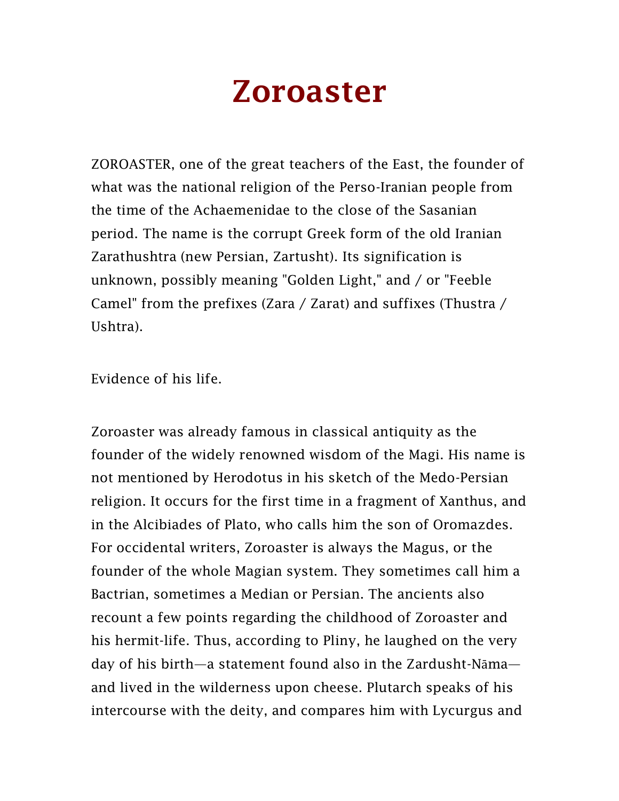## Zoroaster

ZOROASTER, one of the great teachers of the East, the founder of what was the national religion of the Perso-Iranian people from the time of the Achaemenidae to the close of the Sasanian period. The name is the corrupt Greek form of the old Iranian Zarathushtra (new Persian, Zartusht). Its signification is unknown, possibly meaning "Golden Light," and / or "Feeble Camel" from the prefixes (Zara / Zarat) and suffixes (Thustra / Ushtra).

Evidence of his life.

Zoroaster was already famous in classical antiquity as the founder of the widely renowned wisdom of the Magi. His name is not mentioned by Herodotus in his sketch of the Medo-Persian religion. It occurs for the first time in a fragment of Xanthus, and in the Alcibiades of Plato, who calls him the son of Oromazdes. For occidental writers, Zoroaster is always the Magus, or the founder of the whole Magian system. They sometimes call him a Bactrian, sometimes a Median or Persian. The ancients also recount a few points regarding the childhood of Zoroaster and his hermit-life. Thus, according to Pliny, he laughed on the very day of his birth—a statement found also in the Zardusht-Nāma and lived in the wilderness upon cheese. Plutarch speaks of his intercourse with the deity, and compares him with Lycurgus and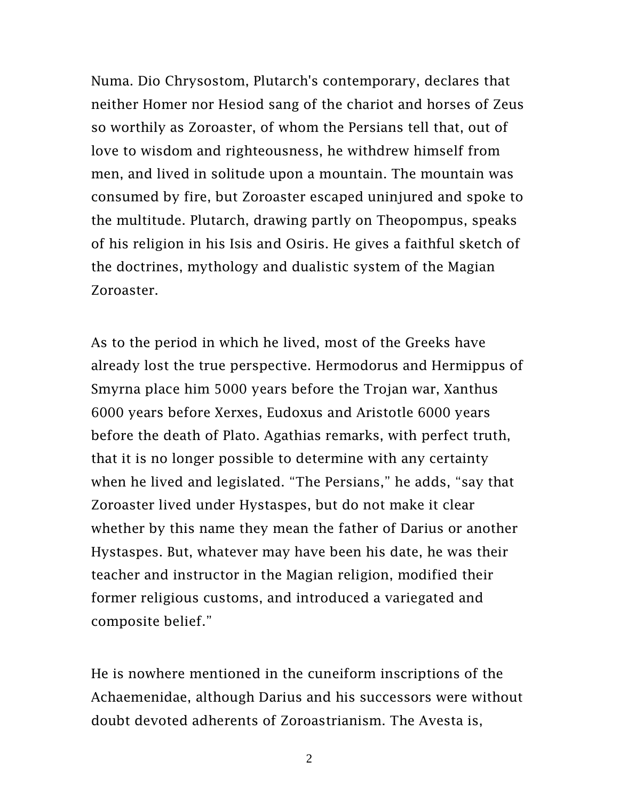Numa. Dio Chrysostom, Plutarch's contemporary, declares that neither Homer nor Hesiod sang of the chariot and horses of Zeus so worthily as Zoroaster, of whom the Persians tell that, out of love to wisdom and righteousness, he withdrew himself from men, and lived in solitude upon a mountain. The mountain was consumed by fire, but Zoroaster escaped uninjured and spoke to the multitude. Plutarch, drawing partly on Theopompus, speaks of his religion in his Isis and Osiris. He gives a faithful sketch of the doctrines, mythology and dualistic system of the Magian Zoroaster.

As to the period in which he lived, most of the Greeks have already lost the true perspective. Hermodorus and Hermippus of Smyrna place him 5000 years before the Trojan war, Xanthus 6000 years before Xerxes, Eudoxus and Aristotle 6000 years before the death of Plato. Agathias remarks, with perfect truth, that it is no longer possible to determine with any certainty when he lived and legislated. "The Persians," he adds, "say that Zoroaster lived under Hystaspes, but do not make it clear whether by this name they mean the father of Darius or another Hystaspes. But, whatever may have been his date, he was their teacher and instructor in the Magian religion, modified their former religious customs, and introduced a variegated and composite belief."

He is nowhere mentioned in the cuneiform inscriptions of the Achaemenidae, although Darius and his successors were without doubt devoted adherents of Zoroastrianism. The Avesta is,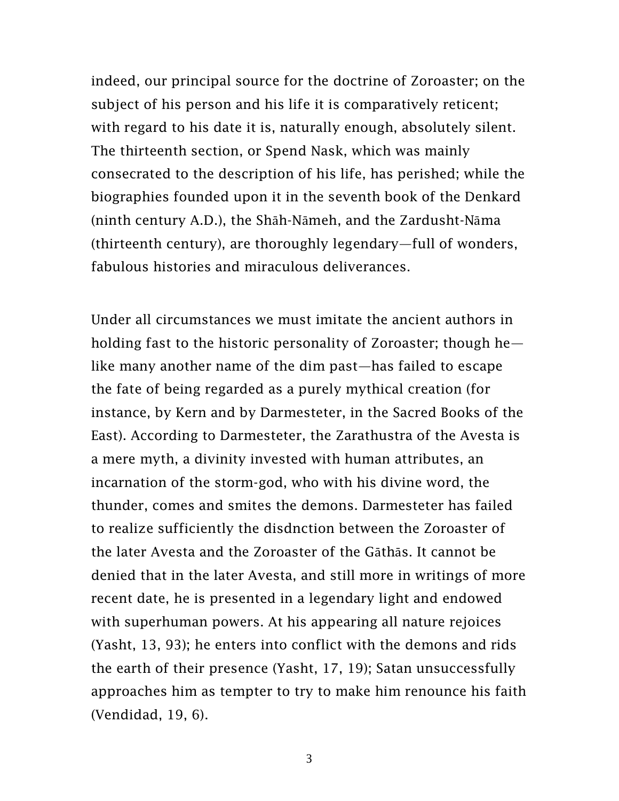indeed, our principal source for the doctrine of Zoroaster; on the subject of his person and his life it is comparatively reticent; with regard to his date it is, naturally enough, absolutely silent. The thirteenth section, or Spend Nask, which was mainly consecrated to the description of his life, has perished; while the biographies founded upon it in the seventh book of the Denkard (ninth century A.D.), the Shāh-Nāmeh, and the Zardusht-Nāma (thirteenth century), are thoroughly legendary—full of wonders, fabulous histories and miraculous deliverances.

Under all circumstances we must imitate the ancient authors in holding fast to the historic personality of Zoroaster; though he like many another name of the dim past—has failed to escape the fate of being regarded as a purely mythical creation (for instance, by Kern and by Darmesteter, in the Sacred Books of the East). According to Darmesteter, the Zarathustra of the Avesta is a mere myth, a divinity invested with human attributes, an incarnation of the storm-god, who with his divine word, the thunder, comes and smites the demons. Darmesteter has failed to realize sufficiently the disdnction between the Zoroaster of the later Avesta and the Zoroaster of the Gāthās. It cannot be denied that in the later Avesta, and still more in writings of more recent date, he is presented in a legendary light and endowed with superhuman powers. At his appearing all nature rejoices (Yasht, 13, 93); he enters into conflict with the demons and rids the earth of their presence (Yasht, 17, 19); Satan unsuccessfully approaches him as tempter to try to make him renounce his faith (Vendidad, 19, 6).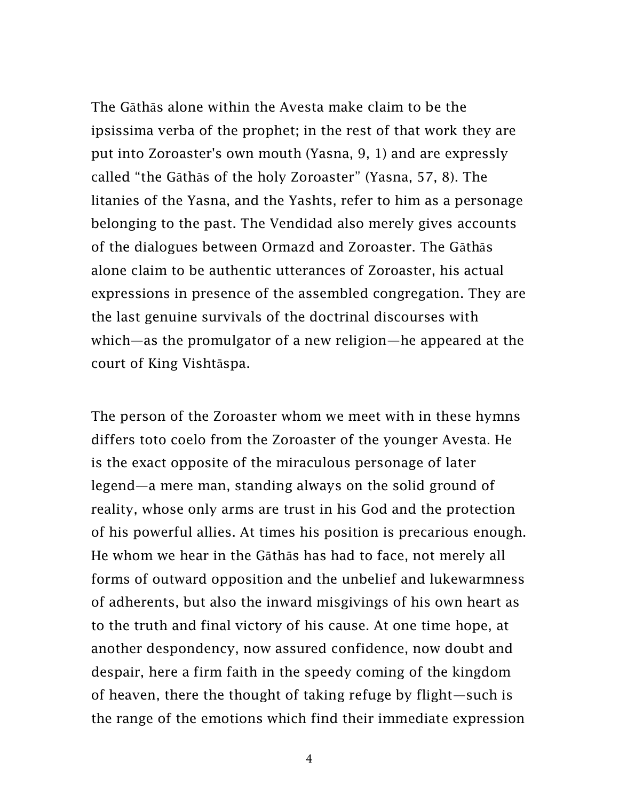The Gāthās alone within the Avesta make claim to be the ipsissima verba of the prophet; in the rest of that work they are put into Zoroaster's own mouth (Yasna, 9, 1) and are expressly called "the Gāthās of the holy Zoroaster" (Yasna, 57, 8). The litanies of the Yasna, and the Yashts, refer to him as a personage belonging to the past. The Vendidad also merely gives accounts of the dialogues between Ormazd and Zoroaster. The Gāthās alone claim to be authentic utterances of Zoroaster, his actual expressions in presence of the assembled congregation. They are the last genuine survivals of the doctrinal discourses with which—as the promulgator of a new religion—he appeared at the court of King Vishtāspa.

The person of the Zoroaster whom we meet with in these hymns differs toto coelo from the Zoroaster of the younger Avesta. He is the exact opposite of the miraculous personage of later legend—a mere man, standing always on the solid ground of reality, whose only arms are trust in his God and the protection of his powerful allies. At times his position is precarious enough. He whom we hear in the Gāthās has had to face, not merely all forms of outward opposition and the unbelief and lukewarmness of adherents, but also the inward misgivings of his own heart as to the truth and final victory of his cause. At one time hope, at another despondency, now assured confidence, now doubt and despair, here a firm faith in the speedy coming of the kingdom of heaven, there the thought of taking refuge by flight—such is the range of the emotions which find their immediate expression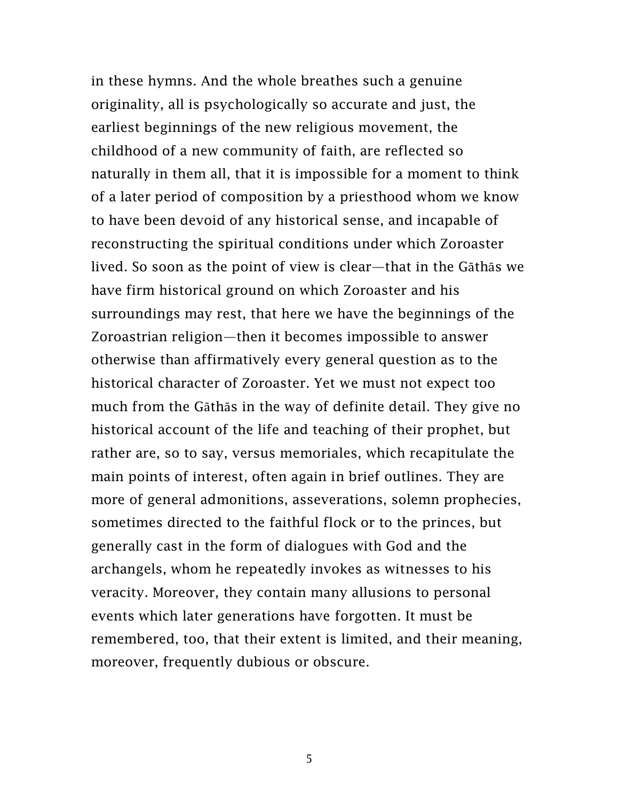in these hymns. And the whole breathes such a genuine originality, all is psychologically so accurate and just, the earliest beginnings of the new religious movement, the childhood of a new community of faith, are reflected so naturally in them all, that it is impossible for a moment to think of a later period of composition by a priesthood whom we know to have been devoid of any historical sense, and incapable of reconstructing the spiritual conditions under which Zoroaster lived. So soon as the point of view is clear—that in the Gāthās we have firm historical ground on which Zoroaster and his surroundings may rest, that here we have the beginnings of the Zoroastrian religion—then it becomes impossible to answer otherwise than affirmatively every general question as to the historical character of Zoroaster. Yet we must not expect too much from the Gāthās in the way of definite detail. They give no historical account of the life and teaching of their prophet, but rather are, so to say, versus memoriales, which recapitulate the main points of interest, often again in brief outlines. They are more of general admonitions, asseverations, solemn prophecies, sometimes directed to the faithful flock or to the princes, but generally cast in the form of dialogues with God and the archangels, whom he repeatedly invokes as witnesses to his veracity. Moreover, they contain many allusions to personal events which later generations have forgotten. It must be remembered, too, that their extent is limited, and their meaning, moreover, frequently dubious or obscure.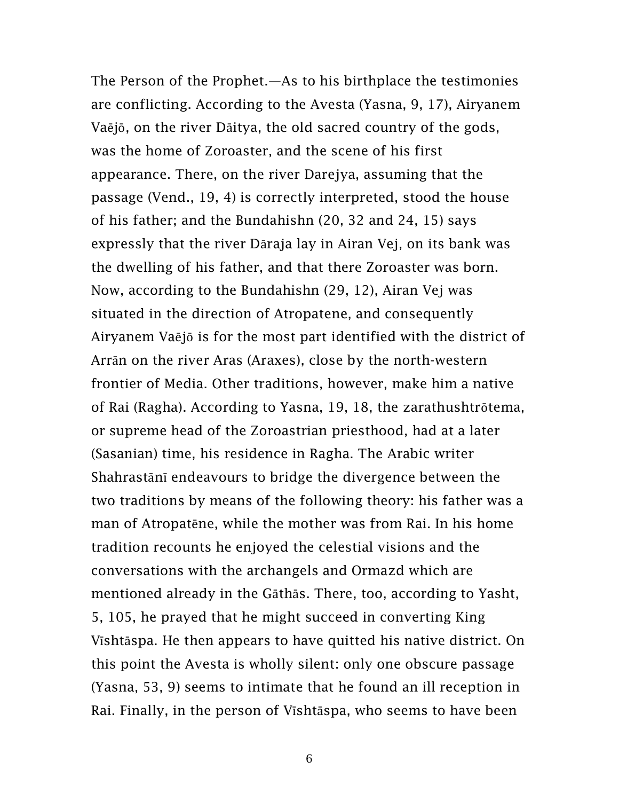The Person of the Prophet.—As to his birthplace the testimonies are conflicting. According to the Avesta (Yasna, 9, 17), Airyanem Vaējō, on the river Dāitya, the old sacred country of the gods, was the home of Zoroaster, and the scene of his first appearance. There, on the river Darejya, assuming that the passage (Vend., 19, 4) is correctly interpreted, stood the house of his father; and the Bundahishn (20, 32 and 24, 15) says expressly that the river Dāraja lay in Airan Vej, on its bank was the dwelling of his father, and that there Zoroaster was born. Now, according to the Bundahishn (29, 12), Airan Vej was situated in the direction of Atropatene, and consequently Airyanem Vaējō is for the most part identified with the district of Arrān on the river Aras (Araxes), close by the north-western frontier of Media. Other traditions, however, make him a native of Rai (Ragha). According to Yasna, 19, 18, the zarathushtrōtema, or supreme head of the Zoroastrian priesthood, had at a later (Sasanian) time, his residence in Ragha. The Arabic writer Shahrastānī endeavours to bridge the divergence between the two traditions by means of the following theory: his father was a man of Atropatēne, while the mother was from Rai. In his home tradition recounts he enjoyed the celestial visions and the conversations with the archangels and Ormazd which are mentioned already in the Gāthās. There, too, according to Yasht, 5, 105, he prayed that he might succeed in converting King Vīshtāspa. He then appears to have quitted his native district. On this point the Avesta is wholly silent: only one obscure passage (Yasna, 53, 9) seems to intimate that he found an ill reception in Rai. Finally, in the person of Vīshtāspa, who seems to have been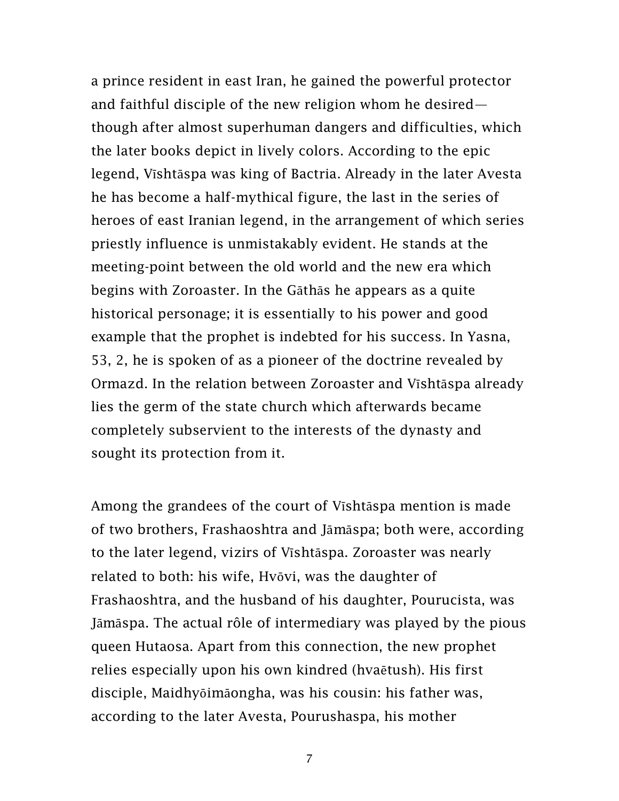a prince resident in east Iran, he gained the powerful protector and faithful disciple of the new religion whom he desired though after almost superhuman dangers and difficulties, which the later books depict in lively colors. According to the epic legend, Vīshtāspa was king of Bactria. Already in the later Avesta he has become a half-mythical figure, the last in the series of heroes of east Iranian legend, in the arrangement of which series priestly influence is unmistakably evident. He stands at the meeting-point between the old world and the new era which begins with Zoroaster. In the Gāthās he appears as a quite historical personage; it is essentially to his power and good example that the prophet is indebted for his success. In Yasna, 53, 2, he is spoken of as a pioneer of the doctrine revealed by Ormazd. In the relation between Zoroaster and Vīshtāspa already lies the germ of the state church which afterwards became completely subservient to the interests of the dynasty and sought its protection from it.

Among the grandees of the court of Vīshtāspa mention is made of two brothers, Frashaoshtra and Jāmāspa; both were, according to the later legend, vizirs of Vīshtāspa. Zoroaster was nearly related to both: his wife, Hvōvi, was the daughter of Frashaoshtra, and the husband of his daughter, Pourucista, was Jāmāspa. The actual rôle of intermediary was played by the pious queen Hutaosa. Apart from this connection, the new prophet relies especially upon his own kindred (hvaētush). His first disciple, Maidhyōimāongha, was his cousin: his father was, according to the later Avesta, Pourushaspa, his mother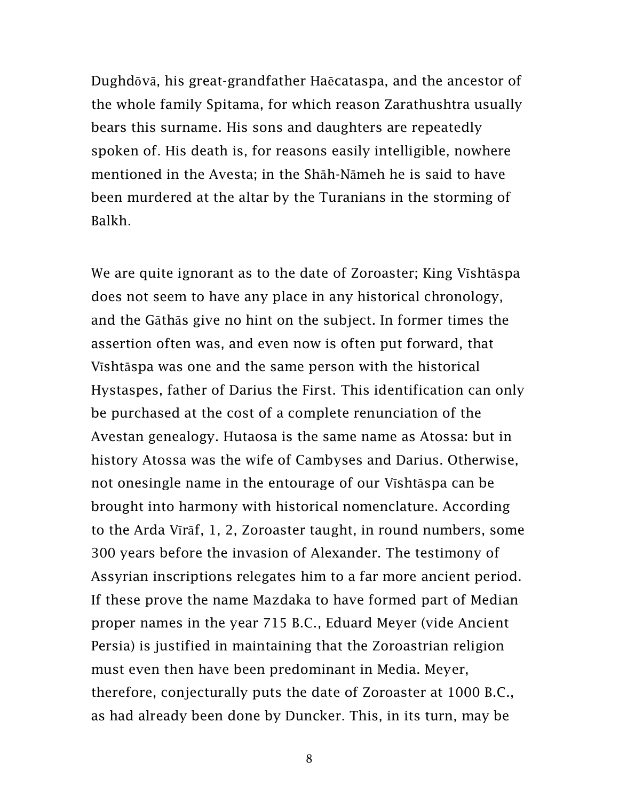Dughdōvā, his great-grandfather Haēcataspa, and the ancestor of the whole family Spitama, for which reason Zarathushtra usually bears this surname. His sons and daughters are repeatedly spoken of. His death is, for reasons easily intelligible, nowhere mentioned in the Avesta; in the Shāh-Nāmeh he is said to have been murdered at the altar by the Turanians in the storming of Balkh.

We are quite ignorant as to the date of Zoroaster; King Vīshtāspa does not seem to have any place in any historical chronology, and the Gāthās give no hint on the subject. In former times the assertion often was, and even now is often put forward, that Vīshtāspa was one and the same person with the historical Hystaspes, father of Darius the First. This identification can only be purchased at the cost of a complete renunciation of the Avestan genealogy. Hutaosa is the same name as Atossa: but in history Atossa was the wife of Cambyses and Darius. Otherwise, not onesingle name in the entourage of our Vīshtāspa can be brought into harmony with historical nomenclature. According to the Arda Vīrāf, 1, 2, Zoroaster taught, in round numbers, some 300 years before the invasion of Alexander. The testimony of Assyrian inscriptions relegates him to a far more ancient period. If these prove the name Mazdaka to have formed part of Median proper names in the year 715 B.C., Eduard Meyer (vide Ancient Persia) is justified in maintaining that the Zoroastrian religion must even then have been predominant in Media. Meyer, therefore, conjecturally puts the date of Zoroaster at 1000 B.C., as had already been done by Duncker. This, in its turn, may be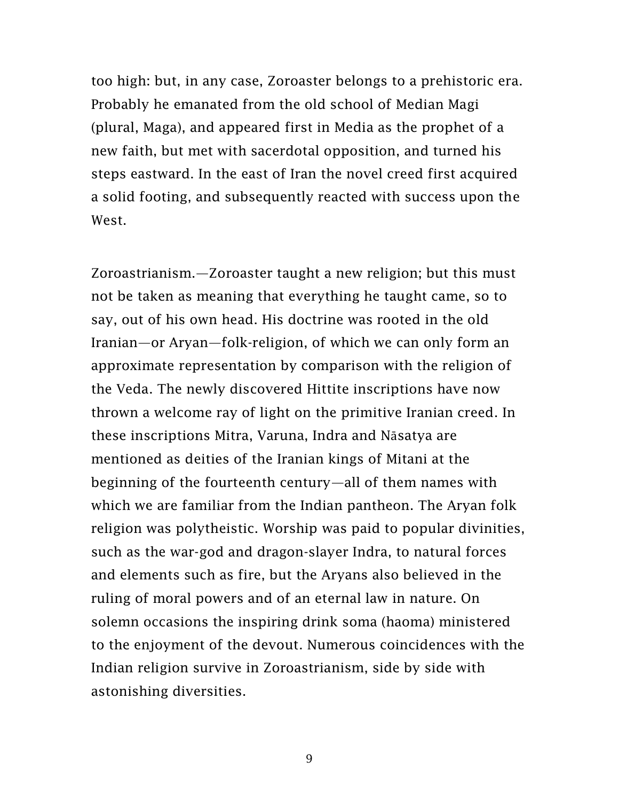too high: but, in any case, Zoroaster belongs to a prehistoric era. Probably he emanated from the old school of Median Magi (plural, Maga), and appeared first in Media as the prophet of a new faith, but met with sacerdotal opposition, and turned his steps eastward. In the east of Iran the novel creed first acquired a solid footing, and subsequently reacted with success upon the West.

Zoroastrianism.—Zoroaster taught a new religion; but this must not be taken as meaning that everything he taught came, so to say, out of his own head. His doctrine was rooted in the old Iranian—or Aryan—folk-religion, of which we can only form an approximate representation by comparison with the religion of the Veda. The newly discovered Hittite inscriptions have now thrown a welcome ray of light on the primitive Iranian creed. In these inscriptions Mitra, Varuna, Indra and Nāsatya are mentioned as deities of the Iranian kings of Mitani at the beginning of the fourteenth century—all of them names with which we are familiar from the Indian pantheon. The Aryan folk religion was polytheistic. Worship was paid to popular divinities, such as the war-god and dragon-slayer Indra, to natural forces and elements such as fire, but the Aryans also believed in the ruling of moral powers and of an eternal law in nature. On solemn occasions the inspiring drink soma (haoma) ministered to the enjoyment of the devout. Numerous coincidences with the Indian religion survive in Zoroastrianism, side by side with astonishing diversities.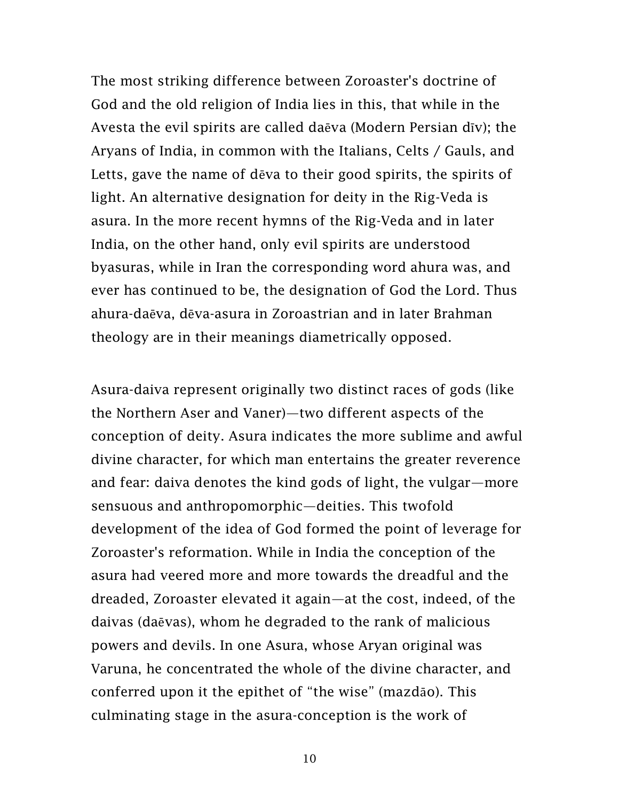The most striking difference between Zoroaster's doctrine of God and the old religion of India lies in this, that while in the Avesta the evil spirits are called daēva (Modern Persian dīv); the Aryans of India, in common with the Italians, Celts / Gauls, and Letts, gave the name of dēva to their good spirits, the spirits of light. An alternative designation for deity in the Rig-Veda is asura. In the more recent hymns of the Rig-Veda and in later India, on the other hand, only evil spirits are understood byasuras, while in Iran the corresponding word ahura was, and ever has continued to be, the designation of God the Lord. Thus ahura-daēva, dēva-asura in Zoroastrian and in later Brahman theology are in their meanings diametrically opposed.

Asura-daiva represent originally two distinct races of gods (like the Northern Aser and Vaner)—two different aspects of the conception of deity. Asura indicates the more sublime and awful divine character, for which man entertains the greater reverence and fear: daiva denotes the kind gods of light, the vulgar—more sensuous and anthropomorphic—deities. This twofold development of the idea of God formed the point of leverage for Zoroaster's reformation. While in India the conception of the asura had veered more and more towards the dreadful and the dreaded, Zoroaster elevated it again—at the cost, indeed, of the daivas (daēvas), whom he degraded to the rank of malicious powers and devils. In one Asura, whose Aryan original was Varuna, he concentrated the whole of the divine character, and conferred upon it the epithet of "the wise" (mazdāo). This culminating stage in the asura-conception is the work of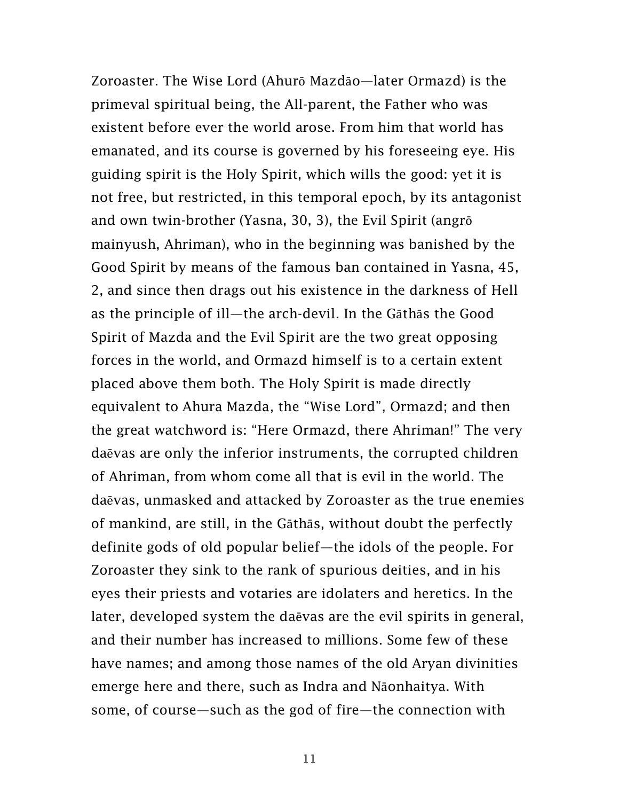Zoroaster. The Wise Lord (Ahurō Mazdāo—later Ormazd) is the primeval spiritual being, the All-parent, the Father who was existent before ever the world arose. From him that world has emanated, and its course is governed by his foreseeing eye. His guiding spirit is the Holy Spirit, which wills the good: yet it is not free, but restricted, in this temporal epoch, by its antagonist and own twin-brother (Yasna, 30, 3), the Evil Spirit (angrō mainyush, Ahriman), who in the beginning was banished by the Good Spirit by means of the famous ban contained in Yasna, 45, 2, and since then drags out his existence in the darkness of Hell as the principle of ill—the arch-devil. In the Gāthās the Good Spirit of Mazda and the Evil Spirit are the two great opposing forces in the world, and Ormazd himself is to a certain extent placed above them both. The Holy Spirit is made directly equivalent to Ahura Mazda, the "Wise Lord", Ormazd; and then the great watchword is: "Here Ormazd, there Ahriman!" The very daēvas are only the inferior instruments, the corrupted children of Ahriman, from whom come all that is evil in the world. The daēvas, unmasked and attacked by Zoroaster as the true enemies of mankind, are still, in the Gāthās, without doubt the perfectly definite gods of old popular belief—the idols of the people. For Zoroaster they sink to the rank of spurious deities, and in his eyes their priests and votaries are idolaters and heretics. In the later, developed system the daēvas are the evil spirits in general, and their number has increased to millions. Some few of these have names; and among those names of the old Aryan divinities emerge here and there, such as Indra and Nāonhaitya. With some, of course—such as the god of fire—the connection with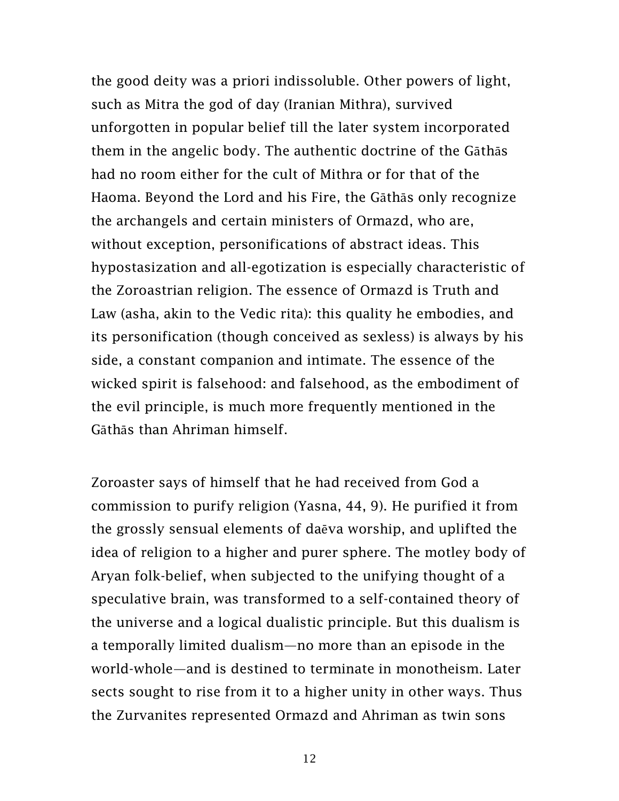the good deity was a priori indissoluble. Other powers of light, such as Mitra the god of day (Iranian Mithra), survived unforgotten in popular belief till the later system incorporated them in the angelic body. The authentic doctrine of the Gāthās had no room either for the cult of Mithra or for that of the Haoma. Beyond the Lord and his Fire, the Gāthās only recognize the archangels and certain ministers of Ormazd, who are, without exception, personifications of abstract ideas. This hypostasization and all-egotization is especially characteristic of the Zoroastrian religion. The essence of Ormazd is Truth and Law (asha, akin to the Vedic rita): this quality he embodies, and its personification (though conceived as sexless) is always by his side, a constant companion and intimate. The essence of the wicked spirit is falsehood: and falsehood, as the embodiment of the evil principle, is much more frequently mentioned in the Gāthās than Ahriman himself.

Zoroaster says of himself that he had received from God a commission to purify religion (Yasna, 44, 9). He purified it from the grossly sensual elements of daēva worship, and uplifted the idea of religion to a higher and purer sphere. The motley body of Aryan folk-belief, when subjected to the unifying thought of a speculative brain, was transformed to a self-contained theory of the universe and a logical dualistic principle. But this dualism is a temporally limited dualism—no more than an episode in the world-whole—and is destined to terminate in monotheism. Later sects sought to rise from it to a higher unity in other ways. Thus the Zurvanites represented Ormazd and Ahriman as twin sons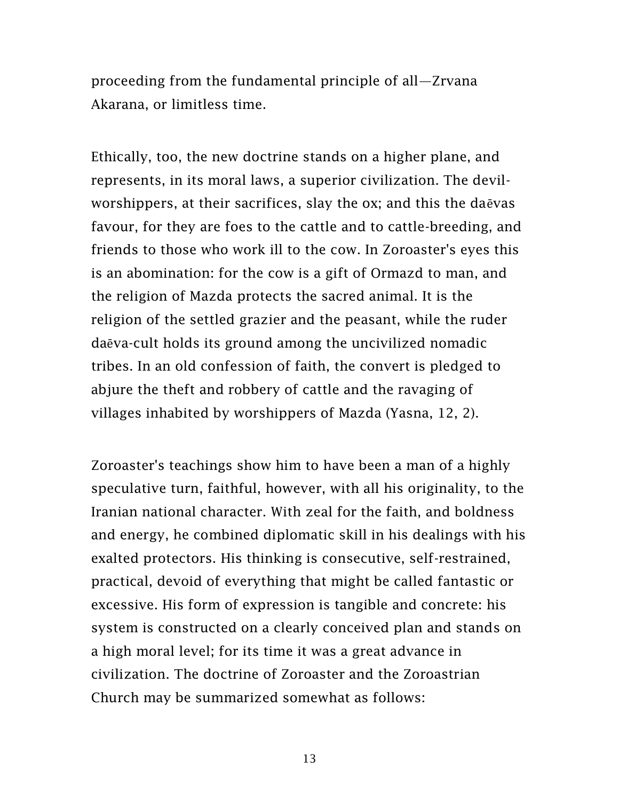proceeding from the fundamental principle of all—Zrvana Akarana, or limitless time.

Ethically, too, the new doctrine stands on a higher plane, and represents, in its moral laws, a superior civilization. The devilworshippers, at their sacrifices, slay the ox; and this the daēvas favour, for they are foes to the cattle and to cattle-breeding, and friends to those who work ill to the cow. In Zoroaster's eyes this is an abomination: for the cow is a gift of Ormazd to man, and the religion of Mazda protects the sacred animal. It is the religion of the settled grazier and the peasant, while the ruder daēva-cult holds its ground among the uncivilized nomadic tribes. In an old confession of faith, the convert is pledged to abjure the theft and robbery of cattle and the ravaging of villages inhabited by worshippers of Mazda (Yasna, 12, 2).

Zoroaster's teachings show him to have been a man of a highly speculative turn, faithful, however, with all his originality, to the Iranian national character. With zeal for the faith, and boldness and energy, he combined diplomatic skill in his dealings with his exalted protectors. His thinking is consecutive, self-restrained, practical, devoid of everything that might be called fantastic or excessive. His form of expression is tangible and concrete: his system is constructed on a clearly conceived plan and stands on a high moral level; for its time it was a great advance in civilization. The doctrine of Zoroaster and the Zoroastrian Church may be summarized somewhat as follows: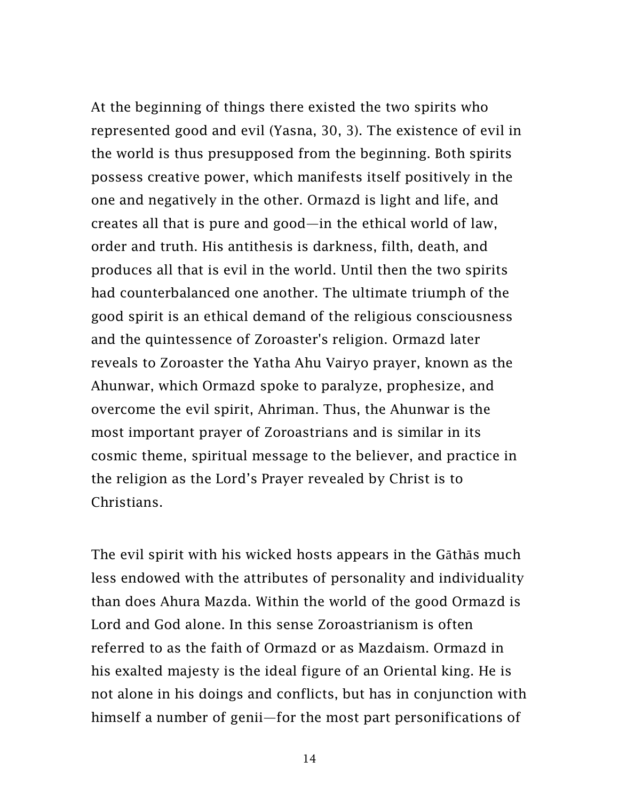At the beginning of things there existed the two spirits who represented good and evil (Yasna, 30, 3). The existence of evil in the world is thus presupposed from the beginning. Both spirits possess creative power, which manifests itself positively in the one and negatively in the other. Ormazd is light and life, and creates all that is pure and good—in the ethical world of law, order and truth. His antithesis is darkness, filth, death, and produces all that is evil in the world. Until then the two spirits had counterbalanced one another. The ultimate triumph of the good spirit is an ethical demand of the religious consciousness and the quintessence of Zoroaster's religion. Ormazd later reveals to Zoroaster the Yatha Ahu Vairyo prayer, known as the Ahunwar, which Ormazd spoke to paralyze, prophesize, and overcome the evil spirit, Ahriman. Thus, the Ahunwar is the most important prayer of Zoroastrians and is similar in its cosmic theme, spiritual message to the believer, and practice in the religion as the Lord's Prayer revealed by Christ is to Christians.

The evil spirit with his wicked hosts appears in the Gāthās much less endowed with the attributes of personality and individuality than does Ahura Mazda. Within the world of the good Ormazd is Lord and God alone. In this sense Zoroastrianism is often referred to as the faith of Ormazd or as Mazdaism. Ormazd in his exalted majesty is the ideal figure of an Oriental king. He is not alone in his doings and conflicts, but has in conjunction with himself a number of genii—for the most part personifications of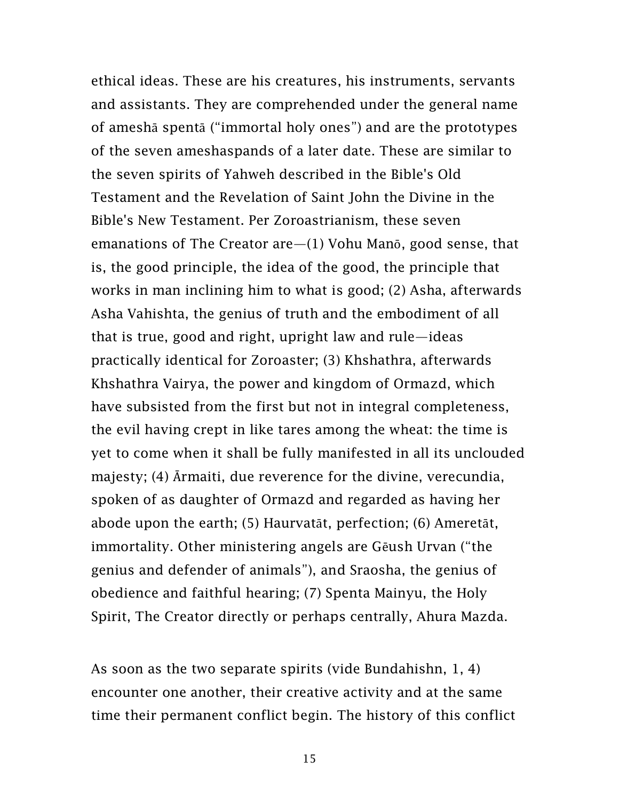ethical ideas. These are his creatures, his instruments, servants and assistants. They are comprehended under the general name of ameshā spentā ("immortal holy ones") and are the prototypes of the seven ameshaspands of a later date. These are similar to the seven spirits of Yahweh described in the Bible's Old Testament and the Revelation of Saint John the Divine in the Bible's New Testament. Per Zoroastrianism, these seven emanations of The Creator are—(1) Vohu Manō, good sense, that is, the good principle, the idea of the good, the principle that works in man inclining him to what is good; (2) Asha, afterwards Asha Vahishta, the genius of truth and the embodiment of all that is true, good and right, upright law and rule—ideas practically identical for Zoroaster; (3) Khshathra, afterwards Khshathra Vairya, the power and kingdom of Ormazd, which have subsisted from the first but not in integral completeness, the evil having crept in like tares among the wheat: the time is yet to come when it shall be fully manifested in all its unclouded majesty; (4) Ārmaiti, due reverence for the divine, verecundia, spoken of as daughter of Ormazd and regarded as having her abode upon the earth; (5) Haurvatāt, perfection; (6) Ameretāt, immortality. Other ministering angels are Gēush Urvan ("the genius and defender of animals"), and Sraosha, the genius of obedience and faithful hearing; (7) Spenta Mainyu, the Holy Spirit, The Creator directly or perhaps centrally, Ahura Mazda.

As soon as the two separate spirits (vide Bundahishn, 1, 4) encounter one another, their creative activity and at the same time their permanent conflict begin. The history of this conflict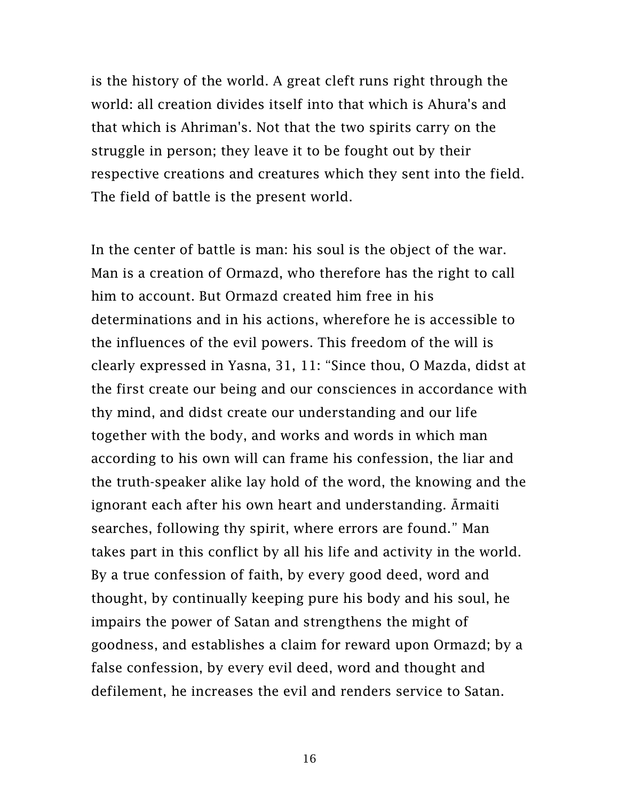is the history of the world. A great cleft runs right through the world: all creation divides itself into that which is Ahura's and that which is Ahriman's. Not that the two spirits carry on the struggle in person; they leave it to be fought out by their respective creations and creatures which they sent into the field. The field of battle is the present world.

In the center of battle is man: his soul is the object of the war. Man is a creation of Ormazd, who therefore has the right to call him to account. But Ormazd created him free in his determinations and in his actions, wherefore he is accessible to the influences of the evil powers. This freedom of the will is clearly expressed in Yasna, 31, 11: "Since thou, O Mazda, didst at the first create our being and our consciences in accordance with thy mind, and didst create our understanding and our life together with the body, and works and words in which man according to his own will can frame his confession, the liar and the truth-speaker alike lay hold of the word, the knowing and the ignorant each after his own heart and understanding. Ārmaiti searches, following thy spirit, where errors are found." Man takes part in this conflict by all his life and activity in the world. By a true confession of faith, by every good deed, word and thought, by continually keeping pure his body and his soul, he impairs the power of Satan and strengthens the might of goodness, and establishes a claim for reward upon Ormazd; by a false confession, by every evil deed, word and thought and defilement, he increases the evil and renders service to Satan.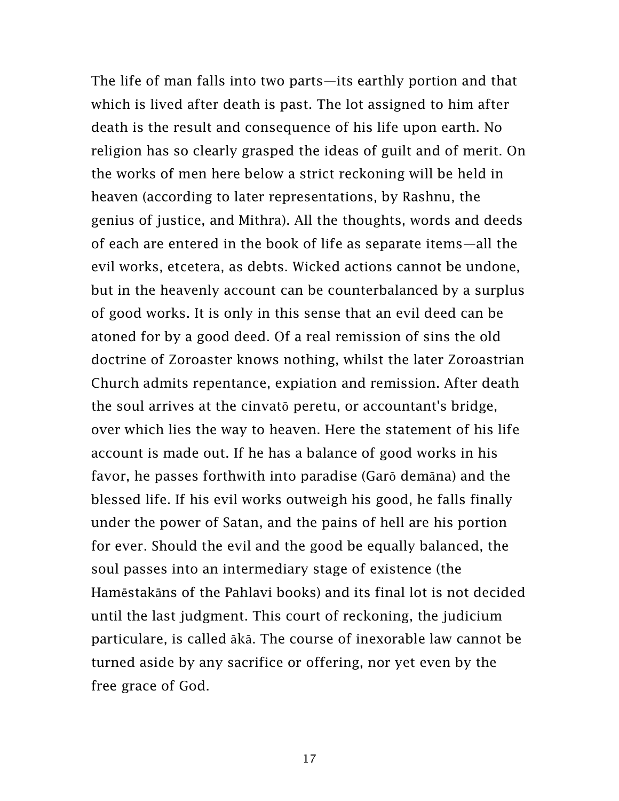The life of man falls into two parts—its earthly portion and that which is lived after death is past. The lot assigned to him after death is the result and consequence of his life upon earth. No religion has so clearly grasped the ideas of guilt and of merit. On the works of men here below a strict reckoning will be held in heaven (according to later representations, by Rashnu, the genius of justice, and Mithra). All the thoughts, words and deeds of each are entered in the book of life as separate items—all the evil works, etcetera, as debts. Wicked actions cannot be undone, but in the heavenly account can be counterbalanced by a surplus of good works. It is only in this sense that an evil deed can be atoned for by a good deed. Of a real remission of sins the old doctrine of Zoroaster knows nothing, whilst the later Zoroastrian Church admits repentance, expiation and remission. After death the soul arrives at the cinvatō peretu, or accountant's bridge, over which lies the way to heaven. Here the statement of his life account is made out. If he has a balance of good works in his favor, he passes forthwith into paradise (Garō demāna) and the blessed life. If his evil works outweigh his good, he falls finally under the power of Satan, and the pains of hell are his portion for ever. Should the evil and the good be equally balanced, the soul passes into an intermediary stage of existence (the Hamēstakāns of the Pahlavi books) and its final lot is not decided until the last judgment. This court of reckoning, the judicium particulare, is called ākā. The course of inexorable law cannot be turned aside by any sacrifice or offering, nor yet even by the free grace of God.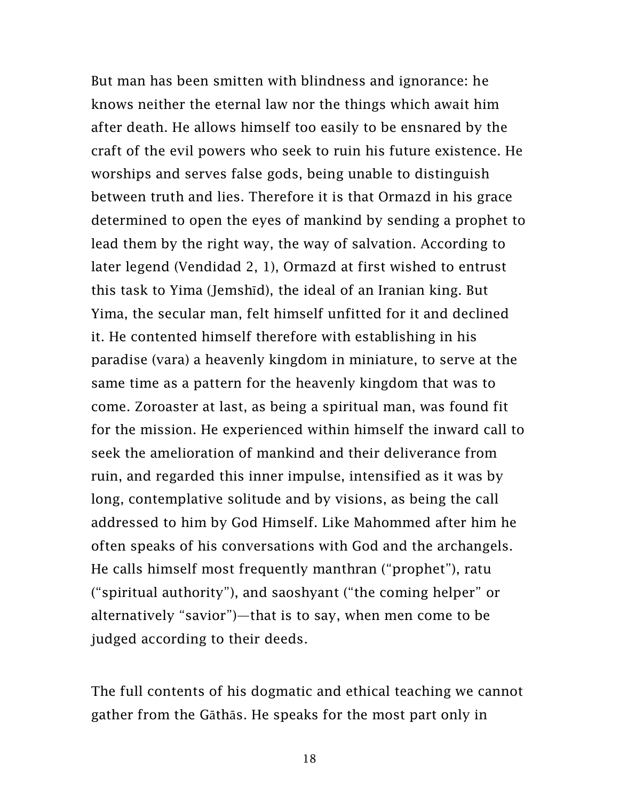But man has been smitten with blindness and ignorance: he knows neither the eternal law nor the things which await him after death. He allows himself too easily to be ensnared by the craft of the evil powers who seek to ruin his future existence. He worships and serves false gods, being unable to distinguish between truth and lies. Therefore it is that Ormazd in his grace determined to open the eyes of mankind by sending a prophet to lead them by the right way, the way of salvation. According to later legend (Vendidad 2, 1), Ormazd at first wished to entrust this task to Yima (Jemshīd), the ideal of an Iranian king. But Yima, the secular man, felt himself unfitted for it and declined it. He contented himself therefore with establishing in his paradise (vara) a heavenly kingdom in miniature, to serve at the same time as a pattern for the heavenly kingdom that was to come. Zoroaster at last, as being a spiritual man, was found fit for the mission. He experienced within himself the inward call to seek the amelioration of mankind and their deliverance from ruin, and regarded this inner impulse, intensified as it was by long, contemplative solitude and by visions, as being the call addressed to him by God Himself. Like Mahommed after him he often speaks of his conversations with God and the archangels. He calls himself most frequently manthran ("prophet"), ratu ("spiritual authority"), and saoshyant ("the coming helper" or alternatively "savior")—that is to say, when men come to be judged according to their deeds.

The full contents of his dogmatic and ethical teaching we cannot gather from the Gāthās. He speaks for the most part only in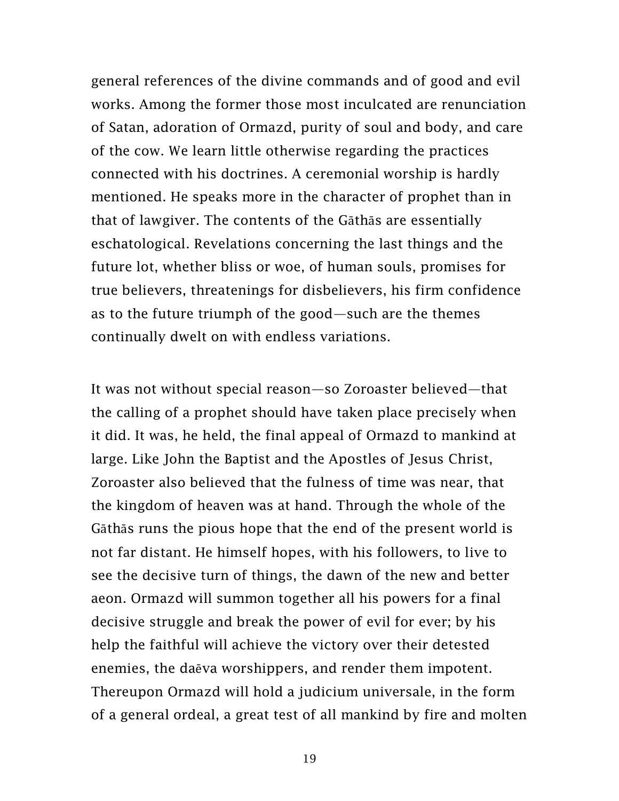general references of the divine commands and of good and evil works. Among the former those most inculcated are renunciation of Satan, adoration of Ormazd, purity of soul and body, and care of the cow. We learn little otherwise regarding the practices connected with his doctrines. A ceremonial worship is hardly mentioned. He speaks more in the character of prophet than in that of lawgiver. The contents of the Gāthās are essentially eschatological. Revelations concerning the last things and the future lot, whether bliss or woe, of human souls, promises for true believers, threatenings for disbelievers, his firm confidence as to the future triumph of the good—such are the themes continually dwelt on with endless variations.

It was not without special reason—so Zoroaster believed—that the calling of a prophet should have taken place precisely when it did. It was, he held, the final appeal of Ormazd to mankind at large. Like John the Baptist and the Apostles of Jesus Christ, Zoroaster also believed that the fulness of time was near, that the kingdom of heaven was at hand. Through the whole of the Gāthās runs the pious hope that the end of the present world is not far distant. He himself hopes, with his followers, to live to see the decisive turn of things, the dawn of the new and better aeon. Ormazd will summon together all his powers for a final decisive struggle and break the power of evil for ever; by his help the faithful will achieve the victory over their detested enemies, the daēva worshippers, and render them impotent. Thereupon Ormazd will hold a judicium universale, in the form of a general ordeal, a great test of all mankind by fire and molten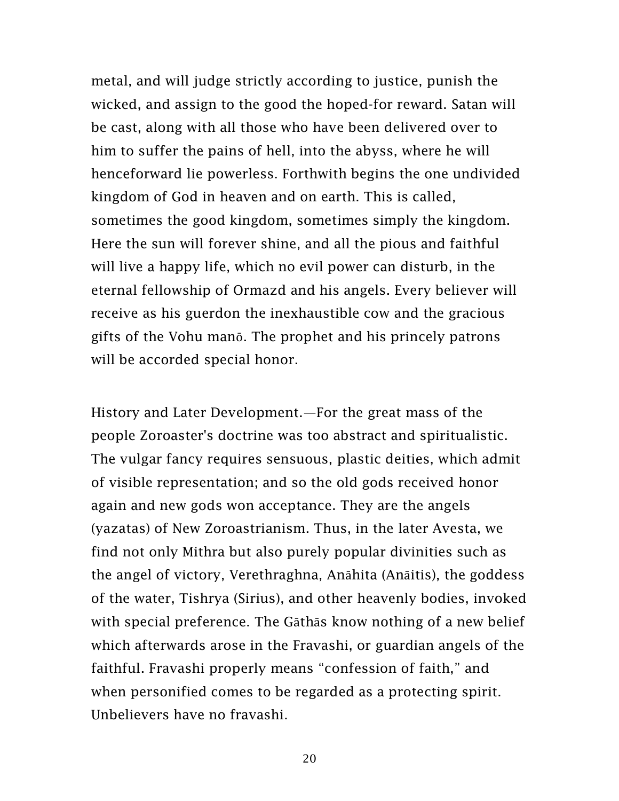metal, and will judge strictly according to justice, punish the wicked, and assign to the good the hoped-for reward. Satan will be cast, along with all those who have been delivered over to him to suffer the pains of hell, into the abyss, where he will henceforward lie powerless. Forthwith begins the one undivided kingdom of God in heaven and on earth. This is called, sometimes the good kingdom, sometimes simply the kingdom. Here the sun will forever shine, and all the pious and faithful will live a happy life, which no evil power can disturb, in the eternal fellowship of Ormazd and his angels. Every believer will receive as his guerdon the inexhaustible cow and the gracious gifts of the Vohu manō. The prophet and his princely patrons will be accorded special honor.

History and Later Development.—For the great mass of the people Zoroaster's doctrine was too abstract and spiritualistic. The vulgar fancy requires sensuous, plastic deities, which admit of visible representation; and so the old gods received honor again and new gods won acceptance. They are the angels (yazatas) of New Zoroastrianism. Thus, in the later Avesta, we find not only Mithra but also purely popular divinities such as the angel of victory, Verethraghna, Anāhita (Anāitis), the goddess of the water, Tishrya (Sirius), and other heavenly bodies, invoked with special preference. The Gāthās know nothing of a new belief which afterwards arose in the Fravashi, or guardian angels of the faithful. Fravashi properly means "confession of faith," and when personified comes to be regarded as a protecting spirit. Unbelievers have no fravashi.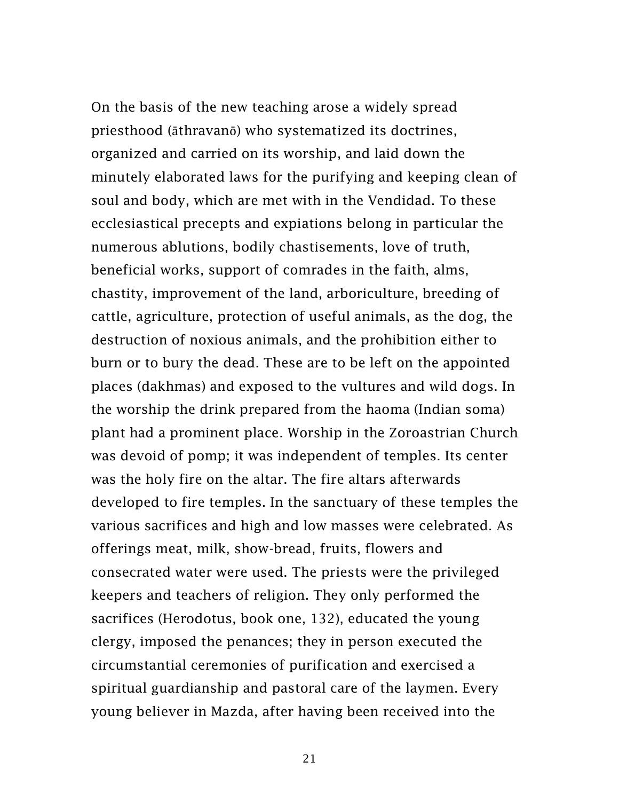On the basis of the new teaching arose a widely spread priesthood (āthravanō) who systematized its doctrines, organized and carried on its worship, and laid down the minutely elaborated laws for the purifying and keeping clean of soul and body, which are met with in the Vendidad. To these ecclesiastical precepts and expiations belong in particular the numerous ablutions, bodily chastisements, love of truth, beneficial works, support of comrades in the faith, alms, chastity, improvement of the land, arboriculture, breeding of cattle, agriculture, protection of useful animals, as the dog, the destruction of noxious animals, and the prohibition either to burn or to bury the dead. These are to be left on the appointed places (dakhmas) and exposed to the vultures and wild dogs. In the worship the drink prepared from the haoma (Indian soma) plant had a prominent place. Worship in the Zoroastrian Church was devoid of pomp; it was independent of temples. Its center was the holy fire on the altar. The fire altars afterwards developed to fire temples. In the sanctuary of these temples the various sacrifices and high and low masses were celebrated. As offerings meat, milk, show-bread, fruits, flowers and consecrated water were used. The priests were the privileged keepers and teachers of religion. They only performed the sacrifices (Herodotus, book one, 132), educated the young clergy, imposed the penances; they in person executed the circumstantial ceremonies of purification and exercised a spiritual guardianship and pastoral care of the laymen. Every young believer in Mazda, after having been received into the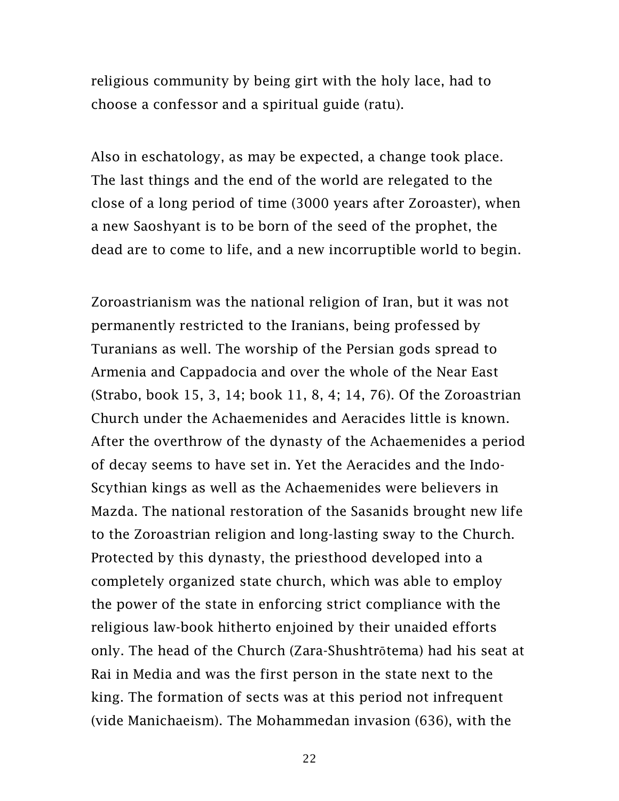religious community by being girt with the holy lace, had to choose a confessor and a spiritual guide (ratu).

Also in eschatology, as may be expected, a change took place. The last things and the end of the world are relegated to the close of a long period of time (3000 years after Zoroaster), when a new Saoshyant is to be born of the seed of the prophet, the dead are to come to life, and a new incorruptible world to begin.

Zoroastrianism was the national religion of Iran, but it was not permanently restricted to the Iranians, being professed by Turanians as well. The worship of the Persian gods spread to Armenia and Cappadocia and over the whole of the Near East (Strabo, book 15, 3, 14; book 11, 8, 4; 14, 76). Of the Zoroastrian Church under the Achaemenides and Aeracides little is known. After the overthrow of the dynasty of the Achaemenides a period of decay seems to have set in. Yet the Aeracides and the Indo-Scythian kings as well as the Achaemenides were believers in Mazda. The national restoration of the Sasanids brought new life to the Zoroastrian religion and long-lasting sway to the Church. Protected by this dynasty, the priesthood developed into a completely organized state church, which was able to employ the power of the state in enforcing strict compliance with the religious law-book hitherto enjoined by their unaided efforts only. The head of the Church (Zara-Shushtrōtema) had his seat at Rai in Media and was the first person in the state next to the king. The formation of sects was at this period not infrequent (vide Manichaeism). The Mohammedan invasion (636), with the